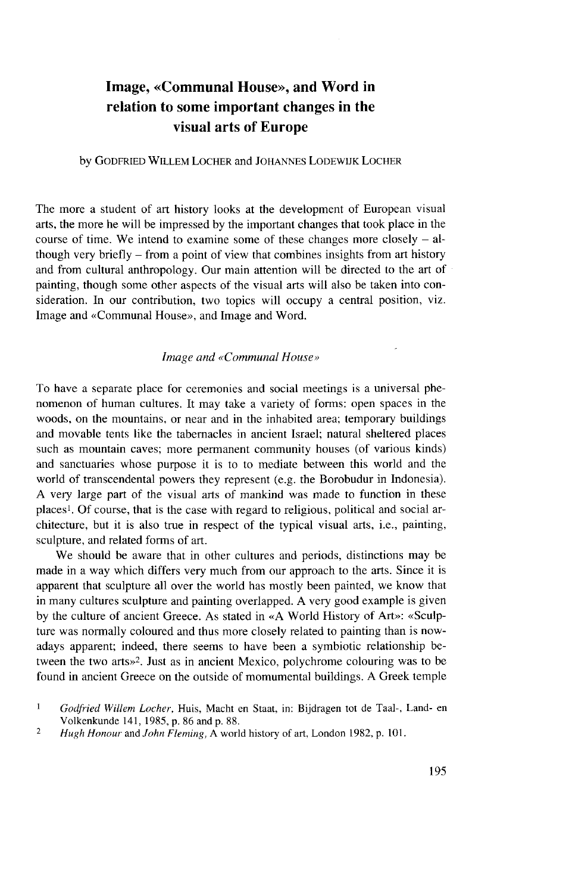## Image, «Communal House», and Word in relation to some important changes in the visual arts of Europe

## by GODFRIED WILLEM LOCHER and JOHANNES LODEWIJK LOCHER

The more a student of art history looks at the development of European visual arts, the more he will be impressed by the important changes that took place in the course of time. We intend to examine some of these changes more closely  $-$  although very briefly - from a point of view that combines insights from art history and from cultural anthropology. Our main attention will be directed to the art of painting, though some other aspects of the visual arts will also be taken into consideration. In our contribution, two topics will occupy a central position, viz. Image and «Communal House», and Image and Word.

## *Image and «Communal House»*

To have a separate place for ceremonies and social meetings is a universal phenomenon of human cultures. It may take a variety of forms: open Spaces in the woods, on the mountains, or near and in the inhabited area; temporary buildings and movable tents like the tabernacles in ancient Israel; natural sheltered places such as mountain caves; more permanent community houses (of various kinds) and sanctuaries whose purpose it is to to mediate between this world and the world of transcendental powers they represent (e.g. the Borobudur in Indonesia). A very large part of the visual arts of mankind was made to function in these places<sup>1</sup> . Of course, that is the case with regard to religious, political and social architecture, but it is also true in respect of the typical visual arts, i.e., painting, sculpture, and related forms of art.

We should be aware that in other cultures and periods, distinctions may be made in a way which differs very much from our approach to the arts. Since it is apparent that sculpture all over the world has mostly been painted, we know that in many cultures sculpture and painting overlapped. A very good example is given by the culture of ancient Greece. As stated in «A World History of Art»: «Sculpture was normally coloured and thus more closely related to painting than is nowadays apparent; indeed, there seems to have been a symbiotic relationship between the two arts»<sup>2</sup> . Just as in ancient Mexico, polychrome colouring was to be found in ancient Greece on the outside of momumental buildings. A Greek temple

<sup>1</sup>  *Godfried Willem Locher,* Huis, Macht en Staat, in: Bijdragen tot de Taal-, Land- en Volkenkunde 141, 1985, p. 86 and p. 88.

<sup>2</sup>  *Hugh Honour* and *John Fleming,* A world history of art, London 1982, p. 101.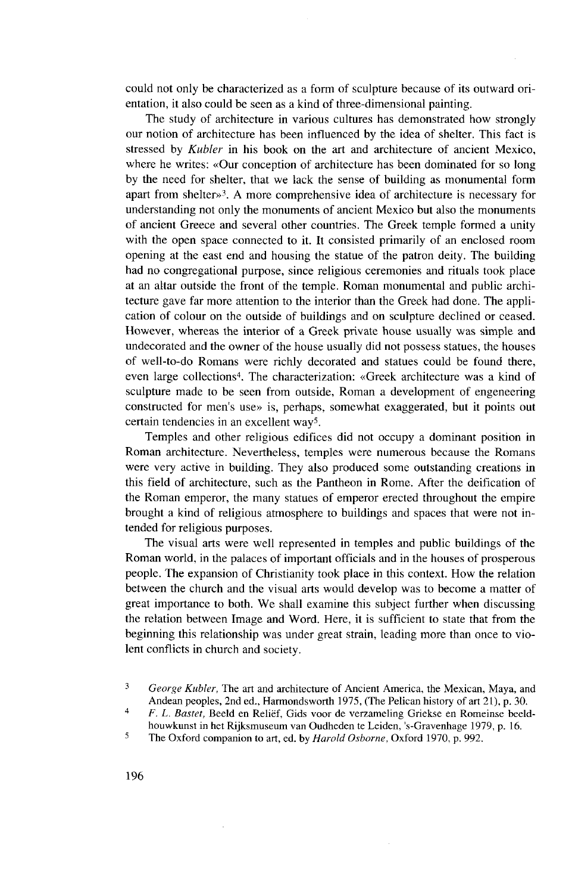could not only be characterized as a form of sculpture because of its outward orientation, it also could be seen as a kind of three-dimensional painting.

The study of architecture in various cultures has demonstrated how strongly our notion of architecture has been influenced by the idea of shelter. This fact is stressed by *Kubler* in his book on the art and architecture of ancient Mexico, where he writes: «Our conception of architecture has been dominated for so long by the need for shelter, that we lack the sense of building as monumental form apart from shelter»<sup>3</sup> . A more comprehensive idea of architecture is necessary for understanding not only the monuments of ancient Mexico but also the monuments of ancient Greece and several other countries. The Greek temple formed a unity with the open space connected to it. It consisted primarily of an enclosed room opening at the east end and housing the statue of the patron deity. The building had no congregational purpose, since religious ceremonies and rituals took place at an altar outside the front of the temple. Roman monumental and public architecture gave far more attention to the interior than the Greek had done. The application of colour on the outside of buildings and on sculpture declined or ceased. However, whereas the interior of a Greek private house usually was simple and undecorated and the owner of the house usually did not possess statues, the houses of well-to-do Romans were richly decorated and statues could be found there, even large collections<sup>4</sup>. The characterization: «Greek architecture was a kind of sculpture made to be seen from outside, Roman a development of engeneering constructed for men's use» is, perhaps, somewhat exaggerated, but it points out certain tendencies in an excellent way<sup>5</sup> .

Temples and other religious edifices did not occupy a dominant position in Roman architecture. Nevertheless, temples were numerous because the Romans were very active in building. They also produced some outstanding creations in this field of architecture, such as the Pantheon in Rome. After the deification of the Roman emperor, the many statues of emperor erected throughout the empire brought a kind of religious atmosphere to buildings and Spaces that were not intended for religious purposes.

The visual arts were well represented in temples and public buildings of the Roman world, in the palaces of important officials and in the houses of prosperous people. The expansion of Christianity took place in this context. How the relation between the church and the visual arts would develop was to become a matter of great importance to both. We shall examine this subject further when discussing the relation between Image and Word. Here, it is sufficient to State that from the beginning this relationship was under great strain, leading more than once to violent conflicts in church and society.

<sup>3</sup>  *George Kubler,* The art and architecture of Ancient America, the Mexican, Maya, and Andean peoples, 2nd ed., Harmondsworth 1975, (The Pelican history of art 21), p. 30.

<sup>4</sup>  *F. L. Bastet,* Beeld en Relief, Gids voor de verzameling Griekse en Romeinse beeldhouwkunst in het Rijksmuseum van Oudheden te Leiden, 's-Gravenhage 1979, p. 16.

<sup>5</sup> The Oxford companion to art, ed. by *Harold Osborne,* Oxford 1970, p. 992.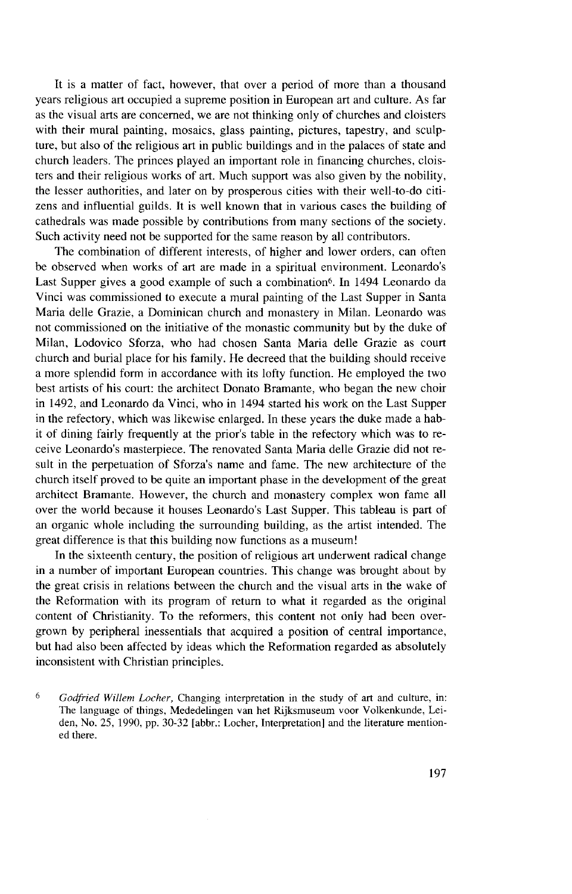It is a matter of fact, however, that over a period of more than a thousand years religious art occupied a supreme position in European art and culture. As far as the visual arts are concerned, we are not thinking only of churches and cloisters with their mural painting, mosaics, glass painting, pictures, tapestry, and sculpture, but also of the religious art in public buildings and in the palaces of state and church leaders. The princes played an important role in financing churches, cloisters and their religious works of art. Much Support was also given by the nobility, the lesser authorities, and later on by prosperous cities with their well-to-do citizens and influential guilds. It is well known that in various cases the building of cathedrals was made possible by contributions from many sections of the society. Such activity need not be supported for the same reason by all contributors.

The combination of different interests, of higher and lower orders, can often be observed when works of art are made in a spiritual environment. Leonardo's Last Supper gives a good example of such a combination<sup>6</sup>. In 1494 Leonardo da Vinci was commissioned to execute a mural painting of the Last Supper in Santa Maria delle Grazie, a Dominican church and monastery in Milan. Leonardo was not commissioned on the initiative of the monastic community but by the duke of Milan, Lodovico Sforza, who had chosen Santa Maria delle Grazie as court church and burial place for his family. He decreed that the building should receive a more splendid form in accordance with its lofty function. He employed the two best artists of his court: the architect Donato Bramante, who began the new choir in 1492, and Leonardo da Vinci, who in 1494 started his work on the Last Supper in the refectory, which was likewise enlarged. In these years the duke made a habit of dining fairly frequently at the prior's table in the refectory which was to receive Leonardo's masterpiece. The renovated Santa Maria delle Grazie did not result in the perpetuation of Sforza's name and fame. The new architecture of the church itself proved to be quite an important phase in the development of the great architect Bramante. However, the church and monastery complex won fame all over the world because it houses Leonardo's Last Supper. This tableau is part of an organic whole including the surrounding building, as the artist intended. The great difference is that this building now functions as a museum!

In the sixteenth century, the position of religious art underwent radical change in a number of important European countries. This change was brought about by the great crisis in relations between the church and the visual arts in the wake of the Reformation with its program of return to what it regarded as the original content of Christianity. To the reformers, this content not only had been overgrown by peripheral inessentials that acquired a position of central importance, but had also been affected by ideas which the Reformation regarded as absolutely inconsistent with Christian principles.

*<sup>6</sup> Godfried Willem Locher,* Changing interpretation in the study of art and culture, in: The language of things, Mededelingen van het Rijksmuseum voor Volkenkunde, Leiden, No. 25, 1990, pp. 30-32 [abbr.: Locher, Interpretation] and the literature mentioned there.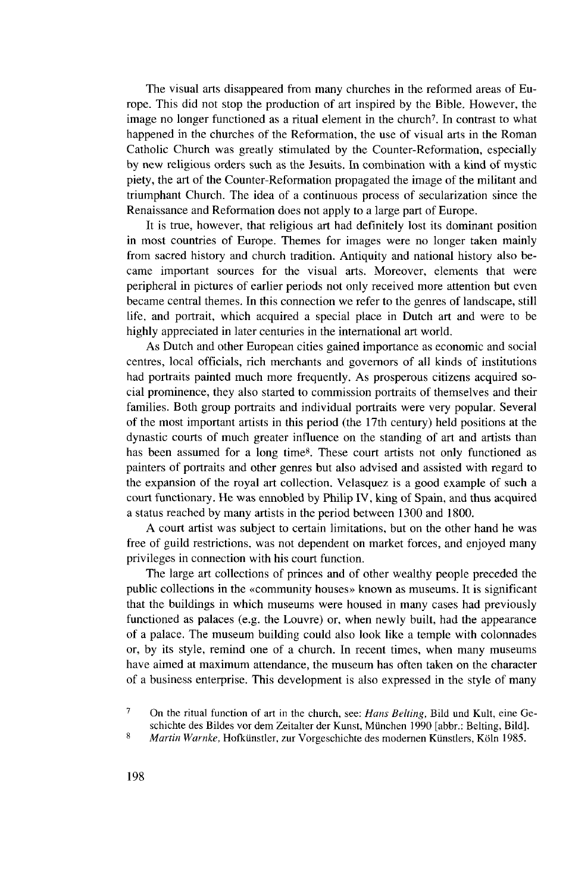The visual arts disappeared from many churches in the reformed areas of Europe. This did not stop the production of art inspired by the Bible. However, the image no longer functioned as a ritual element in the church<sup>7</sup>. In contrast to what happened in the churches of the Reformation, the use of visual arts in the Roman Catholic Church was greatly stimulated by the Counter-Reformation, especially by new religious Orders such as the Jesuits. In combination with a kind of mystic piety, the art of the Counter-Reformation propagated the image of the militant and triumphant Church. The idea of a continuous process of secularization since the Renaissance and Reformation does not apply to a large part of Europe.

It is true, however, that religious art had definitely lost its dominant position in most countries of Europe. Themes for images were no longer taken mainly from sacred history and church tradition. Antiquity and national history also became important sources for the visual arts. Moreover, elements that were peripheral in pictures of earlier periods not only received more attention but even became central themes. In this connection we refer to the genres of landscape, still life, and portrait, which acquired a special place in Dutch art and were to be highly appreciated in later centuries in the international art world.

As Dutch and other European cities gained importance as economic and social centres, local officials, rieh merchants and governors of all kinds of institutions had portraits painted much more frequently. As prosperous citizens acquired social prominence, they also started to commission portraits of themselves and their families. Both group portraits and individual portraits were very popular. Several of the most important artists in this period (the 17th Century) held positions at the dynastic courts of much greater influence on the standing of art and artists than has been assumed for a long time<sup>8</sup> . These court artists not only functioned as painters of portraits and other genres but also advised and assisted with regard to the expansion of the royal art collection. Velasquez is a good example of such a court funetionary. He was ennobled by Philip IV, king of Spain, and thus acquired a Status reached by many artists in the period between 1300 and 1800.

A court artist was subjeet to certain limitations, but on the other hand he was free of guild restrictions, was not dependent on market forces, and enjoyed many privileges in connection with his court function.

The large art collections of princes and of other wealthy people preceded the public collections in the «Community houses» known as museums. It is significant that the buildings in which museums were housed in many cases had previously functioned as palaces (e.g. the Louvre) or, when newly built, had the appearance of a palace. The museum building could also look like a temple with colonnades or, by its style, remind one of a church. In recent times, when many museums have aimed at maximum attendance, the museum has often taken on the character of a business enterprise. This development is also expressed in the style of many

<sup>7</sup> On the ritual funetion of art in the church, see: *Hans Belting,* Bild und Kult, eine Geschichte des Bildes vor dem Zeitalter der Kunst, München 1990 [abbr.: Belting, Bild].

<sup>8</sup>  *Martin Warnte,* Hofkünstler, zur Vorgeschichte des modernen Künstlers, Köln 1985.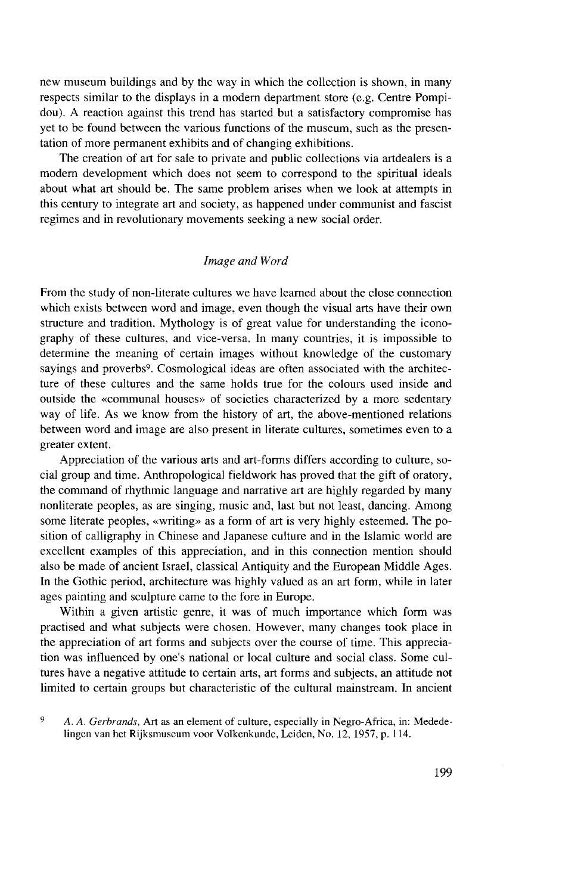new museum buildings and by the way in which the collection is shown, in many respects similar to the displays in a modern department store (e.g. Centre Pompidou). A reaction against this trend has started but a satisfactory compromise has yet to be found between the various functions of the museum, such as the presentation of more permanent exhibits and of changing exhibitions.

The creation of art for sale to private and public collections via artdealers is a modern development which does not seem to correspond to the spiritual ideals about what art should be. The same problem arises when we look at attempts in this Century to integrate art and society, as happened under communist and fascist regimes and in revolutionary movements seeking a new social order.

## *Image and Word*

From the study of non-literate cultures we have learned about the close connection which exists between word and image, even though the visual arts have their own structure and tradition. Mythology is of great value for understanding the iconography of these cultures, and vice-versa. In many countries, it is impossible to determine the meaning of certain images without knowledge of the customary sayings and proverbs<sup>9</sup>. Cosmological ideas are often associated with the architecture of these cultures and the same holds true for the colours used inside and outside the «communal houses» of societies characterized by a more sedentary way of life. As we know from the history of art, the above-mentioned relations between word and image are also present in literate cultures, sometimes even to a greater extent.

Appreciation of the various arts and art-forms differs according to culture, social group and time. Anthropological fieldwork has proved that the gift of oratory, the command of rhythmic language and narrative art are highly regarded by many nonliterate peoples, as are singing, music and, last but not least, dancing. Among some literate peoples, «writing» as a form of art is very highly esteemed. The position of calligraphy in Chinese and Japanese culture and in the Islamic world are excellent examples of this appreciation, and in this connection mention should also be made of ancient Israel, classical Antiquity and the European Middle Ages. In the Gothic period, architecture was highly valued as an art form, while in later ages painting and sculpture came to the fore in Europe.

Within a given artistic genre, it was of much importance which form was practised and what subjects were chosen. However, many changes took place in the appreciation of art forms and subjects over the course of time. This appreciation was influenced by one's national or local culture and social class. Some cultures have a negative attitude to certain arts, art forms and subjects, an attitude not limited to certain groups but characteristic of the cultural mainstream. In ancient

*<sup>9</sup> A. A. Gerbrands,* Art as an element of culture, especially in Negro-Africa, in: Mededelingen van het Rijksmuseum voor Volkenkunde, Leiden, No. 12, 1957, p. 114.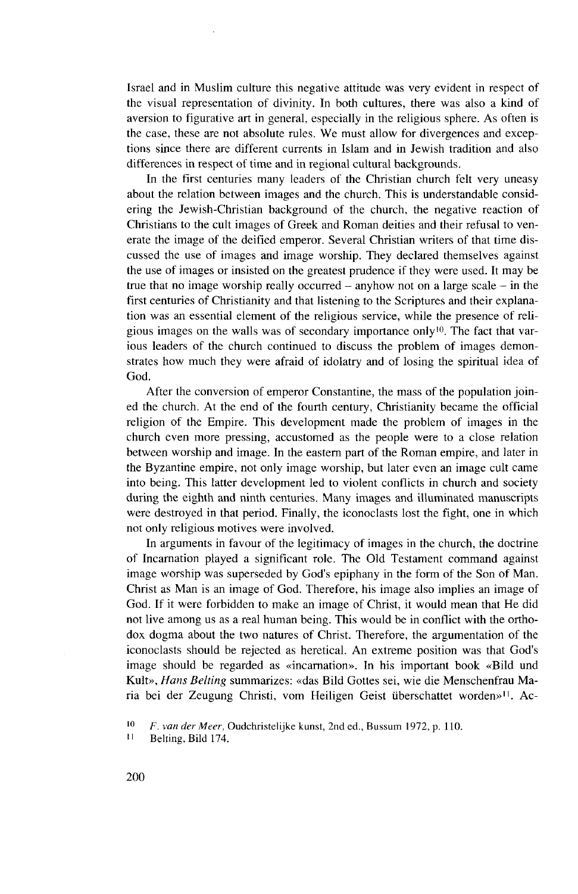Israel and in Muslim culture this negative attitude was very evident in respect of the visual representation of divinity. In both cultures, there was also a kind of aversion to figurative art in general, especially in the religious sphere. As often is the case, these are not absolute rules. We must allow for divergences and exceptions since there are different currents in Islam and in Jewish tradition and also differences in respect of time and in regional cultural backgrounds.

In the first centuries many leaders of the Christian church feit very uneasy about the relation between images and the church. This is understandable considering the Jewish-Christian background of the church, the negative reaction of Christians to the cult images of Greek and Roman deities and their refusal to venerate the image of the deified emperor. Several Christian writers of that time discussed the use of images and image worship. They declared themselves against the use of images or insisted on the greatest prudence if they were used. It may be true that no image worship really occurred - anyhow not on a large scale - in the first centuries of Christianity and that listening to the Scriptures and their explanation was an essential element of the religious service, while the presence of religious images on the walls was of secondary importance only<sup>10</sup>. The fact that various leaders of the church continued to discuss the problem of images demonstrates how much they were afraid of idolatry and of losing the spiritual idea of God.

After the conversion of emperor Constantine, the mass of the population joined the church. At the end of the fourth century, Christianity became the official religion of the Empire. This development made the problem of images in the church even more pressing, accustomed as the people were to a close relation between worship and image. In the eastern part of the Roman empire, and later in the Byzantine empire, not only image worship, but later even an image cult came into being. This latter development led to violent conflicts in church and society during the eighth and ninth centuries. Many images and illuminated manuscripts were destroyed in that period. Finally, the iconoclasts lost the fight, one in which not only religious motives were involved.

In arguments in favour of the legitimacy of images in the church, the doctrine of Incarnation played a significant role. The Old Testament command against image worship was superseded by God's epiphany in the form of the Son of Man. Christ as Man is an image of God. Therefore, his image also implies an image of God. If it were forbidden to make an image of Christ, it would mean that He did not live among us as a real human being. This would be in conflict with the orthodox dogma about the two natures of Christ. Therefore, the argumentation of the iconoclasts should be rejected as heretical. An extreme position was that God's image should be regarded as «incarnation». In his important book «Bild und Kult», *Hans Belting* summarizes: «das Bild Gottes sei, wie die Menschenfrau Maria bei der Zeugung Christi, vom Heiligen Geist überschattet worden»<sup>11</sup> . Ac-

<sup>10</sup>  *F. van der Meer,* Oudchristelijke kunst, 2nd ed., Bussum 1972, p. 110.

<sup>11</sup> Belting, Bild 174.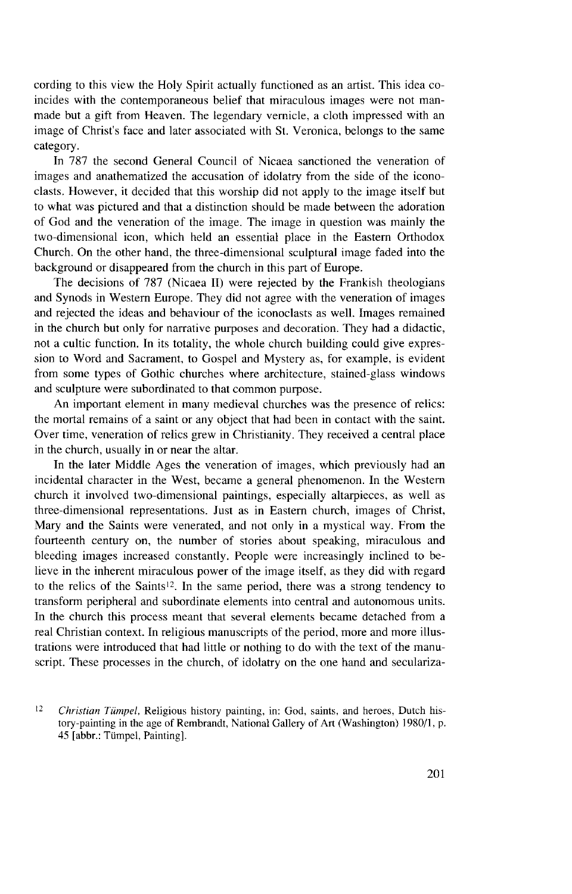cording to this view the Holy Spirit actually functioned as an artist. This idea coincides with the contemporaneous belief that miraculous images were not manmade but a gift from Heaven. The legendary vernicle, a cloth impressed with an image of Christ's face and later associated with St. Veronica, belongs to the same category.

In 787 the second General Council of Nicaea sanctioned the veneration of images and anathematized the accusation of idolatry from the side of the iconoclasts. However, it decided that this worship did not apply to the image itself but to what was pictured and that a distinction should be made between the adoration of God and the veneration of the image. The image in question was mainly the two-dimensional icon, which held an essential place in the Eastern Orthodox Church. On the other hand, the three-dimensional sculptural image faded into the background or disappeared from the church in this part of Europe.

The decisions of 787 (Nicaea II) were rejected by the Frankish theologians and Synods in Western Europe. They did not agree with the veneration of images and rejected the ideas and behaviour of the iconoclasts as well. Images remained in the church but only for narrative purposes and decoration. They had a didactic, not a cultic function. In its totality, the whole church building could give expression to Word and Sacrament, to Gospel and Mystery as, for example, is evident from some types of Gothic churches where architecture, stained-glass Windows and sculpture were subordinated to that common purpose.

An important element in many medieval churches was the presence of relics: the mortal remains of a saint or any object that had been in contact with the saint. Over time, veneration of relics grew in Christianity. They received a central place in the church, usually in or near the altar.

In the later Middle Ages the veneration of images, which previously had an incidental character in the West, became a general phenomenon. In the Western church it involved two-dimensional paintings, especially altarpieces, as well as three-dimensional representations. Just as in Eastern church, images of Christ, Mary and the Saints were venerated, and not only in a mystical way. From the fourteenth Century on, the number of stories about speaking, miraculous and bleeding images increased constantly. People were increasingly inclined to believe in the inherent miraculous power of the image itself, as they did with regard to the relics of the Saints<sup>12</sup>. In the same period, there was a strong tendency to transform peripheral and subordinate elements into central and autonomous units. In the church this process meant that several elements became detached from a real Christian context. In religious manuscripts of the period, more and more illustrations were introduced that had little or nothing to do with the text of the manuscript. These processes in the church, of idolatry on the one hand and seculariza-

 $12$ *Christian Tümpel,* Religious history painting, in: God, saints, and heroes, Dutch history-painting in the age of Rembrandt, National Gallery of Art (Washington) 1980/1, p. 45 [abbr.: Tümpel, Painting],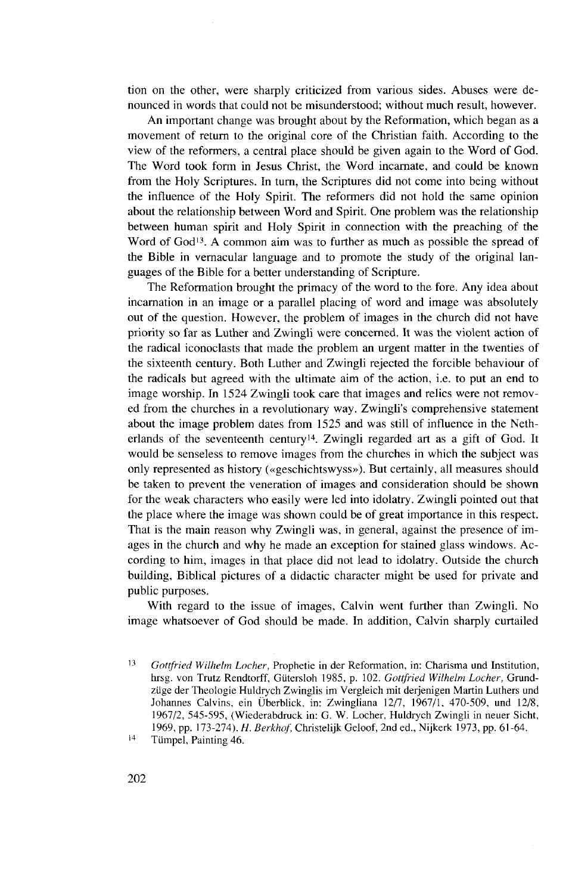tion on the other, were sharply criticized from various sides. Abuses were denounced in words that could not be misunderstood; without much result, however.

An important change was brought about by the Reformation, which began as a movement of return to the original core of the Christian faith. According to the view of the reformers, a central place should be given again to the Word of God. The Word took form in Jesus Christ, the Word incarnate, and could be known from the Holy Scriptures. In turn, the Scriptures did not come into being without the influence of the Holy Spirit. The reformers did not hold the same opinion about the relationship between Word and Spirit. One problem was the relationship between human spirit and Holy Spirit in connection with the preaching of the Word of God<sup>13</sup>. A common aim was to further as much as possible the spread of the Bible in vernacular language and to promote the study of the original languages of the Bible for a better understanding of Scripture.

The Reformation brought the primacy of the word to the fore. Any idea about incarnation in an image or a parallel placing of word and image was absolutely out of the question. However, the problem of images in the church did not have priority so far as Luther and Zwingli were concerned. It was the violent action of the radical iconoclasts that made the problem an urgent matter in the twenties of the sixteenth Century. Both Luther and Zwingli rejected the forcible behaviour of the radicals but agreed with the ultimate aim of the action, i.e. to put an end to image worship. In 1524 Zwingli took care that images and relics were not removed from the churches in a revolutionary way. Zwingli's comprehensive statement about the image problem dates from 1525 and was still of influence in the Netherlands of the seventeenth century<sup>14</sup>. Zwingli regarded art as a gift of God. It would be senseless to remove images from the churches in which the subject was only represented as history («geschichtswyss»), But certainly, all measures should be taken to prevent the veneration of images and consideration should be shown for the weak characters who easily were led into idolatry. Zwingli pointed out that the place where the image was shown could be of great importance in this respect. That is the main reason why Zwingli was, in general, against the presence of images in the church and why he made an exception for stained glass Windows. According to him, images in that place did not lead to idolatry. Outside the church building, Biblical pictures of a didactic character might be used for private and public purposes.

With regard to the issue of images, Calvin went further than Zwingli. No image whatsoever of God should be made. In addition, Calvin sharply curtailed

14 Tümpel, Painting 46.

<sup>13</sup>  *Gottfried Wilhelm Locher,* Prophetie in der Reformation, in: Charisma und Institution, hrsg. von Trutz Rendtorff, Gütersloh 1985, p. 102. *Gottfried Wilhelm Locher,* Grundzüge der Theologie Huldrych Zwingiis im Vergleich mit derjenigen Martin Luthers und Johannes Calvins, ein Überblick, in: Zwingliana 12/7, 1967/1, 470-509, und 12/8, 1967/2, 545-595, (Wiederabdruck in: G. W. Locher, Huldrych Zwingli in neuer Sicht, 1969, pp. 173-274). *H. Berkhof,* Christelijk Geloof, 2nd ed., Nijkerk 1973, pp. 61-64.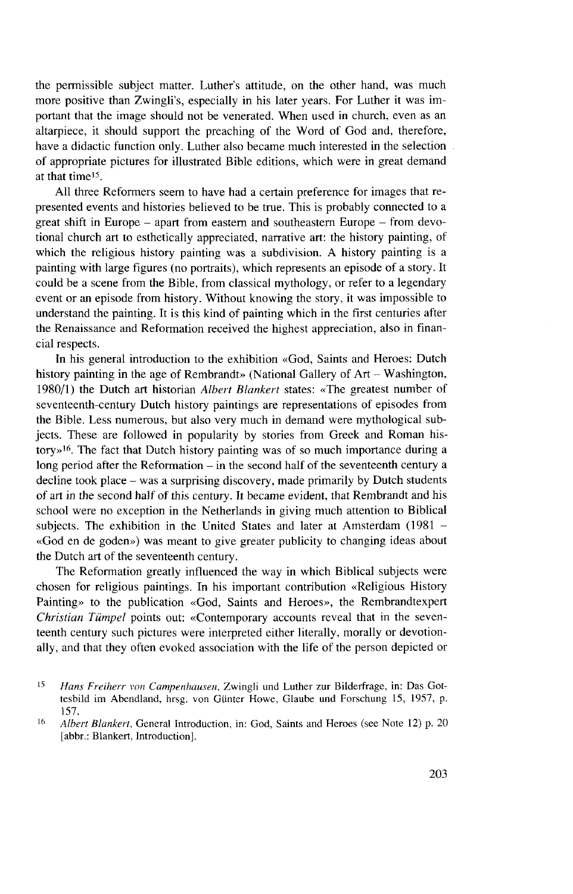the permissible subject matter. Luther's attitude, on the other hand, was much more positive than Zwingli's, especially in his later years. For Luther it was important that the image should not be venerated. When used in church, even as an altarpiece, it should support the preaching of the Word of God and, therefore, have a didactic function only. Luther also became much interested in the selection of appropriate pictures for illustrated Bible editions, which were in great demand at that time<sup>15</sup>.

All three Reformers seem to have had a certain preference for images that represented events and histories believed to be true. This is probably connected to a great shift in Europe  $-$  apart from eastern and southeastern Europe  $-$  from devotional church art to esthetically appreciated, narrative art: the history painting, of which the religious history painting was a subdivision. A history painting is a painting with large figures (no portraits), which represents an episode of a story. It could be a scene from the Bible, from classical myfhology, or refer to a legendary event or an episode from history. Without knowing the story, it was impossible to understand the painting. It is this kind of painting which in the first centuries after the Renaissance and Reformation received the highest appreciation, also in financial respects.

In his general introduction to the exhibition «God, Saints and Heroes: Dutch history painting in the age of Rembrandt» (National Gallery of Art - Washington, 1980/1) the Dutch art historian *Albert Blanken* states: «The greatest number of seventeenth-century Dutch history paintings are representations of episodes from the Bible. Less numerous, but also very much in demand were mythological subjects. These are followed in popularity by stories from Greek and Roman history»<sup>16</sup> . The fact that Dutch history painting was of so much importance during a long period after the Reformation  $-$  in the second half of the seventeenth century a decline took place – was a surprising discovery, made primarily by Dutch students of art in the second half of this Century. It became evident, that Rembrandt and his school were no exception in the Netherlands in giving much attention to Biblical subjects. The exhibition in the United States and later at Amsterdam (1981 -«God en de goden») was meant to give greater publicity to changing ideas about the Dutch art of the seventeenth century.

The Reformation greatly influenced the way in which Biblical subjects were chosen for religious paintings. In his important contribution «Religious History Painting» to the publication «God, Saints and Heroes», the Rembrandtexpert *Christian Tümpel* points out: «Contemporary accounts reveal that in the seventeenth Century such pictures were interpreted either literally, morally or devotionally, and that they often evoked association with the life of the person depicted or

<sup>15</sup>  *Hans Freiherr von Campenhausen,* Zwingli und Luther zur Bilderfrage, in: Das Gottesbild im Abendland, hrsg. von Günter Howe, Glaube und Forschung 15, 1957, p. 157.

<sup>16</sup>  *Albert Blanken,* General Introduction, in: God, Saints and Heroes (see Note 12) p. 20 [abbr.: Blankert, Introduction].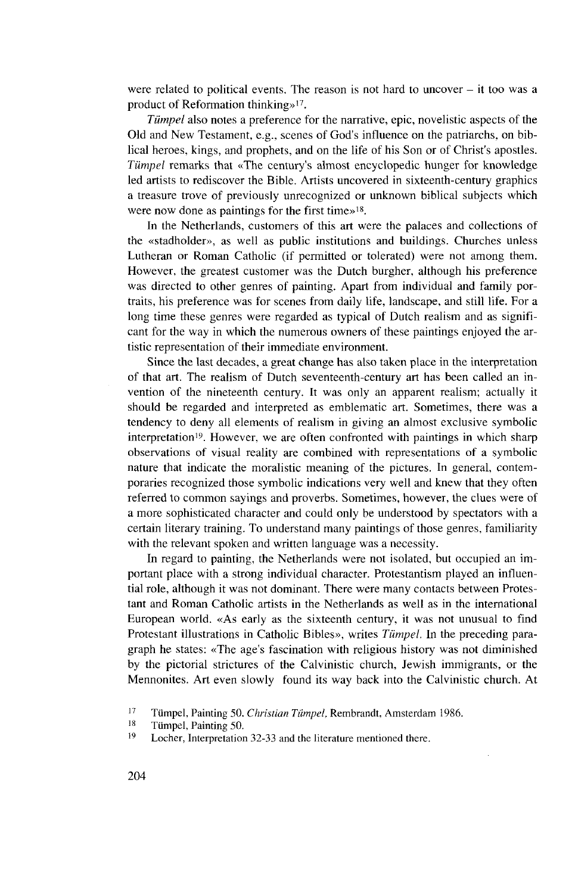were related to political events. The reason is not hard to uncover  $-$  it too was a product of Reformation thinking»<sup>17</sup> .

*Tümpel* also notes a preference for the narrative, epic, novelistic aspects of the Old and New Testament, e.g., scenes of God's influence on the patriarchs, on biblical heroes, kings, and prophets, and on the life of his Son or of Christ's apostles. *Tümpel* remarks that «The century's almost encyclopedic hunger for knowledge led artists to rediscover the Bible. Artists uncovered in sixteenth-century graphics a treasure trove of previously unrecognized or unknown biblical subjects which were now done as paintings for the first time<sup> $>18$ </sup>.

In the Netherlands, customers of this art were the palaces and collections of the «stadholder», as well as public institutions and buildings. Churches unless Lutheran or Roman Catholic (if permitted or tolerated) were not among them. However, the greatest customer was the Dutch burgher, although his preference was directed to other genres of painting. Apart from individual and family portraits, his preference was for scenes from daily life, landscape, and still life. For a long time these genres were regarded as typical of Dutch realism and as significant for the way in which the numerous owners of these paintings enjoyed the artistic representation of their immediate environment.

Since the last decades, a great change has also taken place in the interpretation of that art. The realism of Dutch seventeenth-century art has been called an invention of the nineteenth Century. It was only an apparent realism; actually it should be regarded and interpreted as emblematic art. Sometimes, there was a tendency to deny all elements of realism in giving an almost exclusive symbolic interpretation<sup>19</sup>. However, we are often confronted with paintings in which sharp observations of visual reality are combined with representations of a symbolic nature that indicate the moralistic meaning of the pictures. In general, contemporaries recognized those symbolic indications very well and knew that they often referred to common sayings and proverbs. Sometimes, however, the clues were of a more sophisticated character and could only be understood by spectators with a certain literary training. To understand many paintings of those genres, familiarity with the relevant spoken and written language was a necessity.

In regard to painting, the Netherlands were not isolated, but occupied an important place with a strong individual character. Protestantism played an influential role, although it was not dominant. There were many contacts between Protestant and Roman Catholic artists in the Netherlands as well as in the international European world. «As early as the sixteenth Century, it was not unusual to find Protestant illustrations in Catholic Bibles», writes *Tümpel.* In the preceding paragraph he states: «The age's fascination with religious history was not diminished by the pictorial strictures of the Calvinistic church, Jewish immigrants, or the Mennonites. Art even slowly found its way back into the Calvinistic church. At

<sup>17</sup> Tümpel, Painting 50. *Christian Tümpel,* Rembrandt, Amsterdam 1986.

<sup>18</sup> Tümpel, Painting 50.

<sup>19</sup> Locher, Interpretation 32-33 and the literature mentioned there.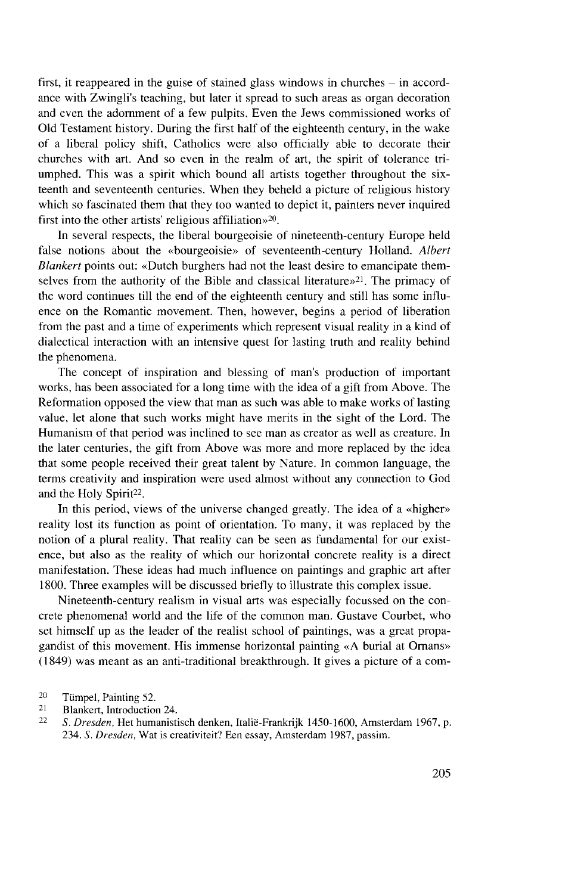first, it reappeared in the guise of stained glass windows in churches  $-$  in accordance with Zwingli's teaching, but later it spread to such areas as organ decoration and even the adornment of a few pulpits. Even the Jews commissioned works of Old Testament history. During the first half of the eighteenth Century, in the wake of a liberal policy shift, Catholics were also officially able to decorate their churches with art. And so even in the realm of art, the spirit of tolerance triumphed. This was a spirit which bound all artists together throughout the sixteenth and seventeenth centuries. When they beheld a picture of religious history which so fascinated fhem that they too wanted to depict it, painters never inquired first into the other artists' religious affiliation»<sup>20</sup> .

In several respects, the liberal bourgeoisie of nineteenth-century Europe held false notions about the «bourgeoisie» of seventeenth-century Holland. *Albert Blankert* points out: «Dutch burghers had not the least desire to emancipate themselves from the authority of the Bible and classical literature»<sup>21</sup>. The primacy of the word continues till the end of the eighteenth century and still has some influence on the Romantic movement. Then, however, begins a period of liberation from the past and a time of experiments which represent Visual reality in a kind of dialectical interaction with an intensive quest for lasting truth and reality behind the phenomena.

The concept of inspiration and blessing of man's production of important works, has been associated for a long time with the idea of a gift from Above. The Reformation opposed the view that man as such was able to make works of lasting value, let alone that such works might have merits in the sight of the Lord. The Humanism of that period was inclined to see man as creator as well as creature. In the later centuries, the gift from Above was more and more replaced by the idea that some people received their great talent by Nature. In common language, the terms creativity and inspiration were used almost without any connection to God and the Holy Spirit<sup>22</sup>.

In this period, views of the universe changed greatly. The idea of a «higher» reality lost its function as point of orientation. To many, it was replaced by the notion of a plural reality. That reality can be seen as fundamental for our existence, but also as the reality of which our horizontal concrete reality is a direct manifestation. These ideas had much influence on paintings and graphic art after 1800. Three examples will be discussed briefly to illustrate this complex issue.

Nineteenth-century realism in Visual arts was especially focussed on the concrete phenomenal world and the life of the common man. Gustave Courbet, who set himself up as the leader of the realist school of paintings, was a great propagandist of this movement. His immense horizontal painting «A burial at Omans» (1849) was meant as an anti-traditional breakthrough. It gives a picture of a com-

21 Blankert, Introduction 24.

<sup>20</sup> Tümpel, Painting 52.

<sup>22</sup>  *S. Dresden,* Het humanistisch denken, Italie-Frankrijk 1450-1600, Amsterdam 1967, p. 234. *S. Dresden,* Wat is creativiteit? Een essay, Amsterdam 1987, passim.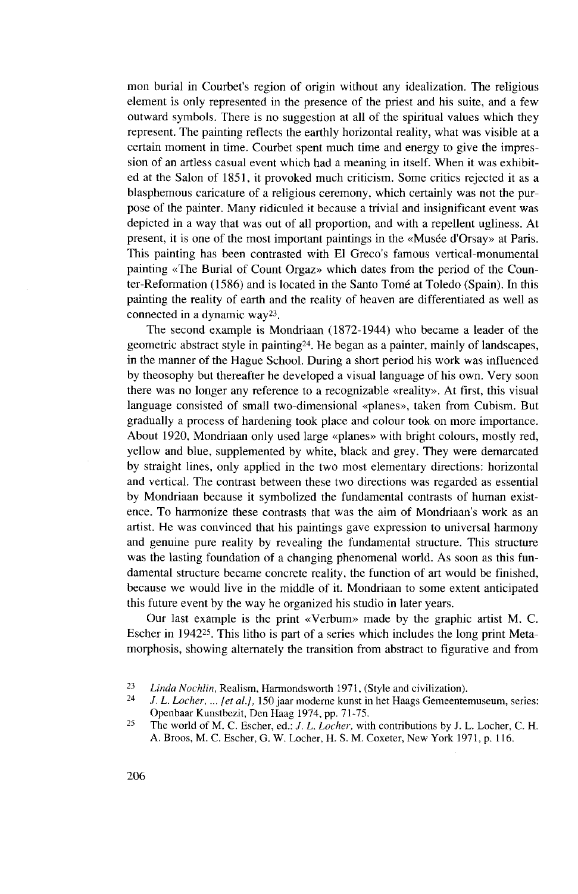mon burial in Courbet's region of origin without any idealization. The religious element is only represented in the presence of the priest and his suite, and a few outward symbols. There is no suggestion at all of the spiritual values which they represent. The painting reflects the earthly horizontal reality, what was visible at a certain moment in time. Courbet spent much time and energy to give the impression of an artless casual event which had a meaning in itself. When it was exhibited at the Salon of 1851, it provoked much criticism. Some critics rejected it as a blasphemous caricature of a religious ceremony, which certainly was not the purpose of the painter. Many ridiculed it because a trivial and insignificant event was depicted in a way that was out of all proportion, and with a repellent ugliness. At present, it is one of the most important paintings in the «Musee d'Orsay» at Paris. This painting has been contrasted with El Greco's famous vertical-monumental painting «The Burial of Count Orgaz» which dates from the period of the Counter-Reformation (1586) and is located in the Santo Tome at Toledo (Spain). In this painting the reality of earth and the reality of heaven are differentiated as well as connected in a dynamic way<sup>23</sup> .

The second example is Mondriaan (1872-1944) who became a leader of the geometric abstract style in painting<sup>24</sup> . He began as a painter, mainly of landscapes, in the manner of the Hague School. During a short period his work was influenced by theosophy but thereafter he developed a visual language of his own. Very soon there was no longer any reference to a recognizable «reality». At first, this visual language consisted of small two-dimensional «planes», taken from Cubism. But gradually a process of hardening took place and colour took on more importance. About 1920, Mondriaan only used large «planes» with bright colours, mostly red, yellow and blue, supplemented by white, black and grey. They were demarcated by straight lines, only applied in the two most elementary directions: horizontal and vertical. The contrast between these two directions was regarded as essential by Mondriaan because it symbolized the fundamental contrasts of human existence. To harmonize these contrasts that was the aim of Mondriaan's work as an artist. He was convinced that his paintings gave expression to universal harmony and genuine pure reality by revealing the fundamental structure. This structure was the lasting foundation of a changing phenomenal world. As soon as this fundamental structure became concrete reality, the function of art would be finished, because we would live in the middle of it. Mondriaan to some extent anticipated this future event by the way he organized his studio in later years.

Our last example is the print «Verbum» made by the graphic artist M. C. Escher in 1942<sup>25</sup>. This litho is part of a series which includes the long print Metamorphosis, showing alternately the transition from abstract to figurative and from

<sup>23</sup>  *Linda Nochlin,* Realism, Harmondsworth 1971, (Style and civilization).

<sup>24</sup> /. *L. Locher, ... [et al.],* 150 jaar moderne kunst in het Haags Gemeentemuseum, series: Openbaar Kunstbezit, Den Haag 1974, pp. 71-75.

<sup>25</sup> The world of M. C. Escher, ed.: /. *L. Locher,* with contributions by J. L. Locher, C. H. A. Broos, M. C. Escher, G. W. Locher, H. S. M. Coxeter, New York 1971, p. 116.